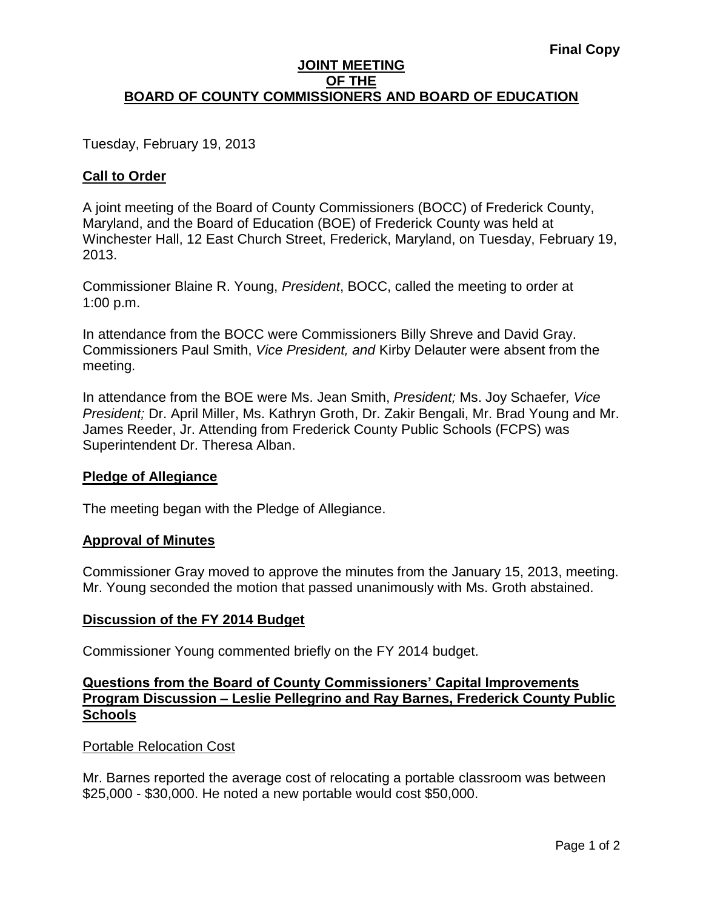# **JOINT MEETING OF THE BOARD OF COUNTY COMMISSIONERS AND BOARD OF EDUCATION**

Tuesday, February 19, 2013

# **Call to Order**

A joint meeting of the Board of County Commissioners (BOCC) of Frederick County, Maryland, and the Board of Education (BOE) of Frederick County was held at Winchester Hall, 12 East Church Street, Frederick, Maryland, on Tuesday, February 19, 2013.

Commissioner Blaine R. Young, *President*, BOCC, called the meeting to order at 1:00 p.m.

In attendance from the BOCC were Commissioners Billy Shreve and David Gray. Commissioners Paul Smith, *Vice President, and* Kirby Delauter were absent from the meeting.

In attendance from the BOE were Ms. Jean Smith, *President;* Ms. Joy Schaefer*, Vice President;* Dr. April Miller, Ms. Kathryn Groth, Dr. Zakir Bengali, Mr. Brad Young and Mr. James Reeder, Jr. Attending from Frederick County Public Schools (FCPS) was Superintendent Dr. Theresa Alban.

# **Pledge of Allegiance**

The meeting began with the Pledge of Allegiance.

# **Approval of Minutes**

Commissioner Gray moved to approve the minutes from the January 15, 2013, meeting. Mr. Young seconded the motion that passed unanimously with Ms. Groth abstained.

# **Discussion of the FY 2014 Budget**

Commissioner Young commented briefly on the FY 2014 budget.

# **Questions from the Board of County Commissioners' Capital Improvements Program Discussion – Leslie Pellegrino and Ray Barnes, Frederick County Public Schools**

# Portable Relocation Cost

Mr. Barnes reported the average cost of relocating a portable classroom was between \$25,000 - \$30,000. He noted a new portable would cost \$50,000.